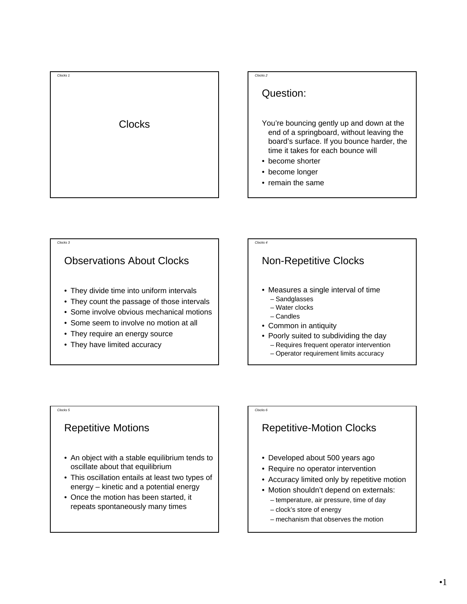



### Question:

You're bouncing gently up and down at the end of a springboard, without leaving the board's surface. If you bounce harder, the time it takes for each bounce will

- become shorter
- become longer
- remain the same

# Observations About Clocks • They divide time into uniform intervals • They count the passage of those intervals • Some involve obvious mechanical motions

- Some seem to involve no motion at all
- They require an energy source
- They have limited accuracy

### *Clocks 4* Non-Repetitive Clocks • Measures a single interval of time – Sandglasses – Water clocks – Candles • Common in antiquity

*Clocks 6*

- Poorly suited to subdividing the day – Requires frequent operator intervention
	- Operator requirement limits accuracy

#### *Clocks 5*

*Clocks 3*

### Repetitive Motions

- An object with a stable equilibrium tends to oscillate about that equilibrium
- This oscillation entails at least two types of energy – kinetic and a potential energy
- Once the motion has been started, it repeats spontaneously many times

# Repetitive-Motion Clocks

- Developed about 500 years ago
- Require no operator intervention
- Accuracy limited only by repetitive motion
- Motion shouldn't depend on externals: – temperature, air pressure, time of day
	- clock's store of energy
	- mechanism that observes the motion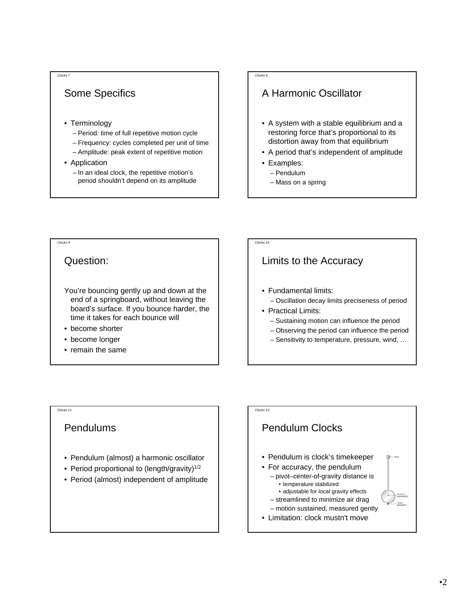# Some Specifics

*Clocks 7*

- Terminology
	- Period: time of full repetitive motion cycle
	- Frequency: cycles completed per unit of time
	- Amplitude: peak extent of repetitive motion
- Application
	- In an ideal clock, the repetitive motion's period shouldn't depend on its amplitude

#### *Clocks 8*

*Clocks 10*

### A Harmonic Oscillator

- A system with a stable equilibrium and a restoring force that's proportional to its distortion away from that equilibrium
- A period that's independent of amplitude
- Examples:
	- Pendulum
	- Mass on a spring

## Question:

*Clocks 9*

#### You're bouncing gently up and down at the end of a springboard, without leaving the board's surface. If you bounce harder, the time it takes for each bounce will

- become shorter
- become longer
- remain the same

# Limits to the Accuracy

- Fundamental limits:
	- Oscillation decay limits preciseness of period
- Practical Limits:
	- Sustaining motion can influence the period
	- Observing the period can influence the period
	- Sensitivity to temperature, pressure, wind, …

### Pendulums

*Clocks 11*

- Pendulum (almost) a harmonic oscillator
- Period proportional to (length/gravity) $1/2$
- Period (almost) independent of amplitude

### *Clocks 12* Pendulum Clocks • Pendulum is clock's timekeeper • For accuracy, the pendulum – pivot–center-of-gravity distance is • temperature stabilized • adjustable for local gravity effects – streamlined to minimize air drag – motion sustained, measured gently • Limitation: clock mustn't move